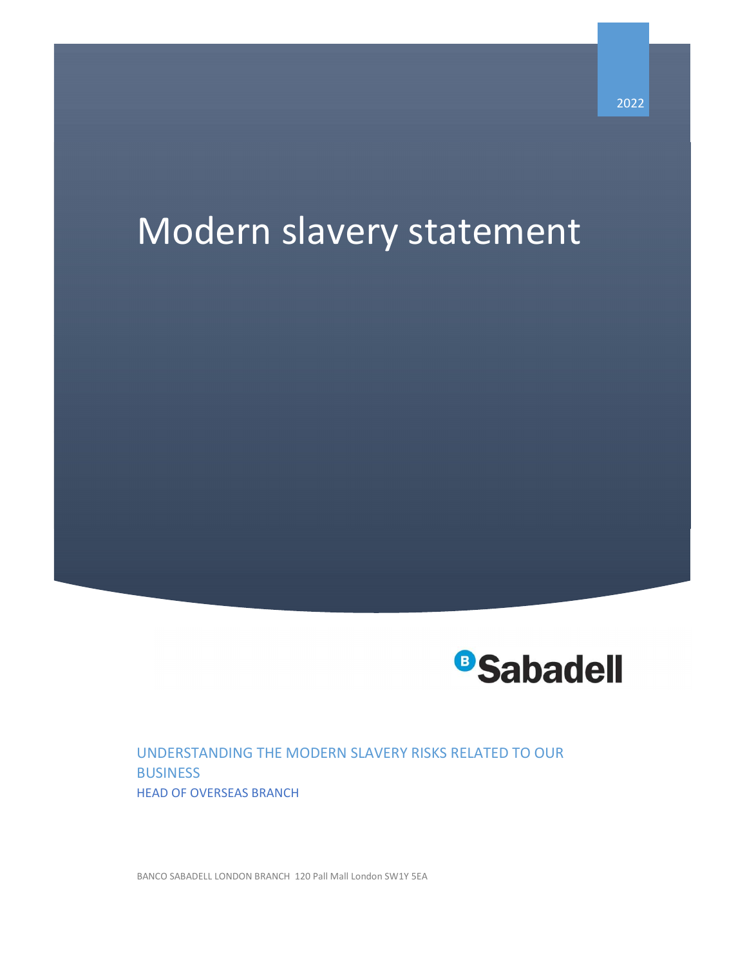# Modern slavery statement



UNDERSTANDING THE MODERN SLAVERY RISKS RELATED TO OUR BUSINESS HEAD OF OVERSEAS BRANCH

BANCO SABADELL LONDON BRANCH 120 Pall Mall London SW1Y 5EA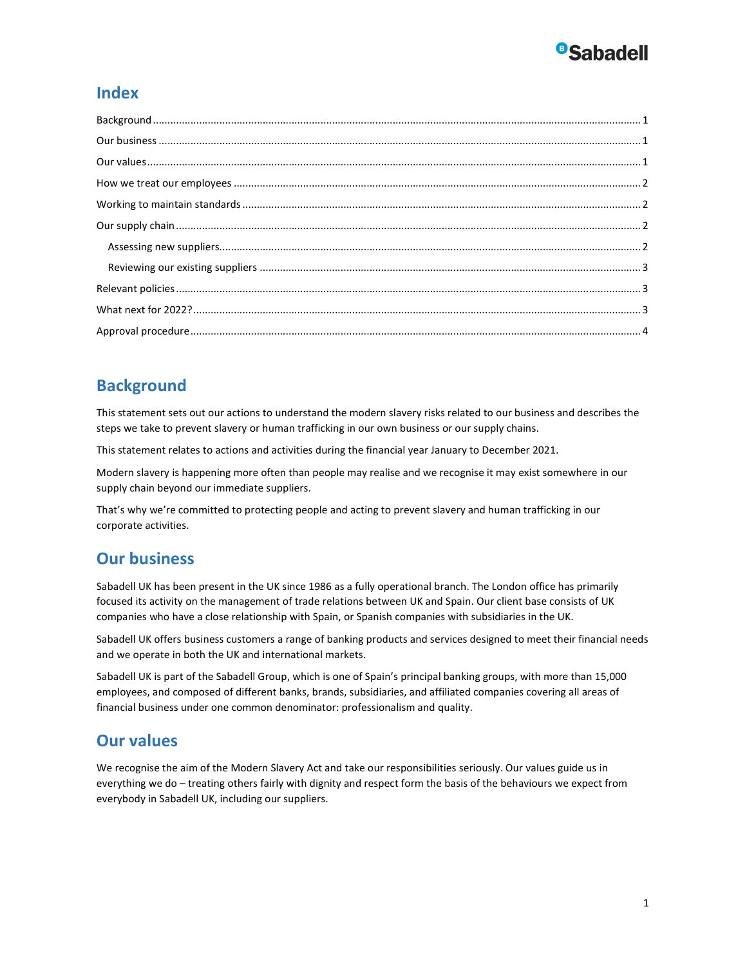## **BSabadell**

#### Index

## **Background**

This statement sets out our actions to understand the modern slavery risks related to our business and describes the steps we take to prevent slavery or human trafficking in our own business or our supply chains.

This statement relates to actions and activities during the financial year January to December 2021.

Modern slavery is happening more often than people may realise and we recognise it may exist somewhere in our supply chain beyond our immediate suppliers.

That's why we're committed to protecting people and acting to prevent slavery and human trafficking in our corporate activities.

#### Our business

Sabadell UK has been present in the UK since 1986 as a fully operational branch. The London office has primarily focused its activity on the management of trade relations between UK and Spain. Our client base consists of UK companies who have a close relationship with Spain, or Spanish companies with subsidiaries in the UK.

Sabadell UK offers business customers a range of banking products and services designed to meet their financial needs and we operate in both the UK and international markets.

Sabadell UK is part of the Sabadell Group, which is one of Spain's principal banking groups, with more than 15,000 employees, and composed of different banks, brands, subsidiaries, and affiliated companies covering all areas of financial business under one common denominator: professionalism and quality.

#### Our values

We recognise the aim of the Modern Slavery Act and take our responsibilities seriously. Our values guide us in everything we do – treating others fairly with dignity and respect form the basis of the behaviours we expect from everybody in Sabadell UK, including our suppliers.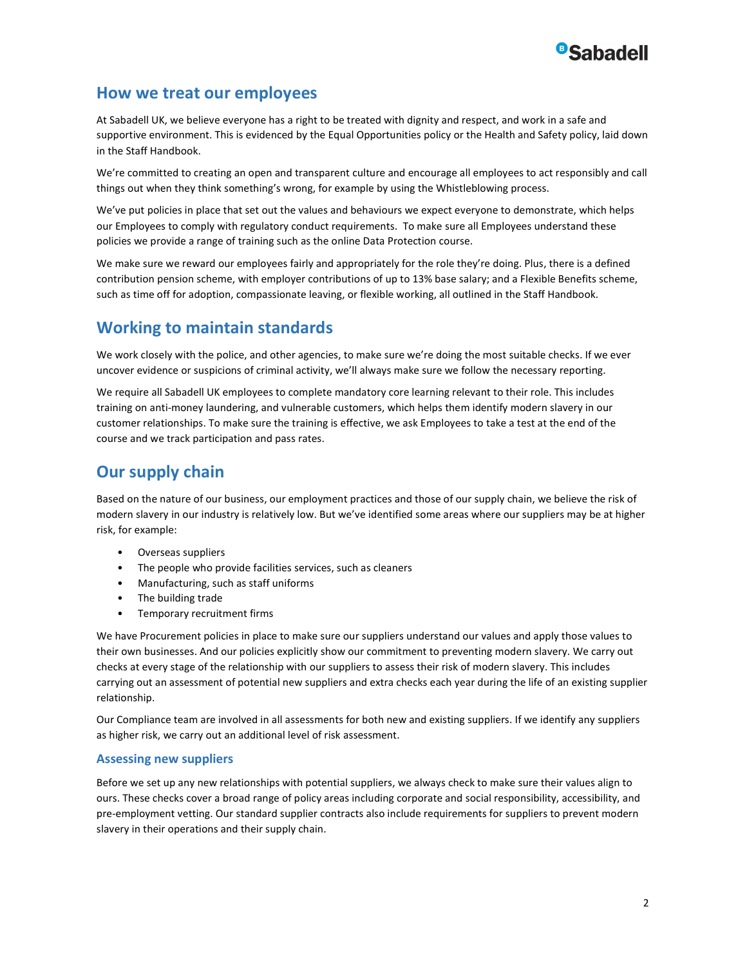

#### How we treat our employees

At Sabadell UK, we believe everyone has a right to be treated with dignity and respect, and work in a safe and supportive environment. This is evidenced by the Equal Opportunities policy or the Health and Safety policy, laid down in the Staff Handbook.

We're committed to creating an open and transparent culture and encourage all employees to act responsibly and call things out when they think something's wrong, for example by using the Whistleblowing process.

We've put policies in place that set out the values and behaviours we expect everyone to demonstrate, which helps our Employees to comply with regulatory conduct requirements. To make sure all Employees understand these policies we provide a range of training such as the online Data Protection course.

We make sure we reward our employees fairly and appropriately for the role they're doing. Plus, there is a defined contribution pension scheme, with employer contributions of up to 13% base salary; and a Flexible Benefits scheme, such as time off for adoption, compassionate leaving, or flexible working, all outlined in the Staff Handbook.

### Working to maintain standards

We work closely with the police, and other agencies, to make sure we're doing the most suitable checks. If we ever uncover evidence or suspicions of criminal activity, we'll always make sure we follow the necessary reporting.

We require all Sabadell UK employees to complete mandatory core learning relevant to their role. This includes training on anti-money laundering, and vulnerable customers, which helps them identify modern slavery in our customer relationships. To make sure the training is effective, we ask Employees to take a test at the end of the course and we track participation and pass rates.

### Our supply chain

Based on the nature of our business, our employment practices and those of our supply chain, we believe the risk of modern slavery in our industry is relatively low. But we've identified some areas where our suppliers may be at higher risk, for example:

- Overseas suppliers
- The people who provide facilities services, such as cleaners
- Manufacturing, such as staff uniforms
- The building trade
- Temporary recruitment firms

We have Procurement policies in place to make sure our suppliers understand our values and apply those values to their own businesses. And our policies explicitly show our commitment to preventing modern slavery. We carry out checks at every stage of the relationship with our suppliers to assess their risk of modern slavery. This includes carrying out an assessment of potential new suppliers and extra checks each year during the life of an existing supplier relationship.

Our Compliance team are involved in all assessments for both new and existing suppliers. If we identify any suppliers as higher risk, we carry out an additional level of risk assessment.

#### Assessing new suppliers

Before we set up any new relationships with potential suppliers, we always check to make sure their values align to ours. These checks cover a broad range of policy areas including corporate and social responsibility, accessibility, and pre-employment vetting. Our standard supplier contracts also include requirements for suppliers to prevent modern slavery in their operations and their supply chain.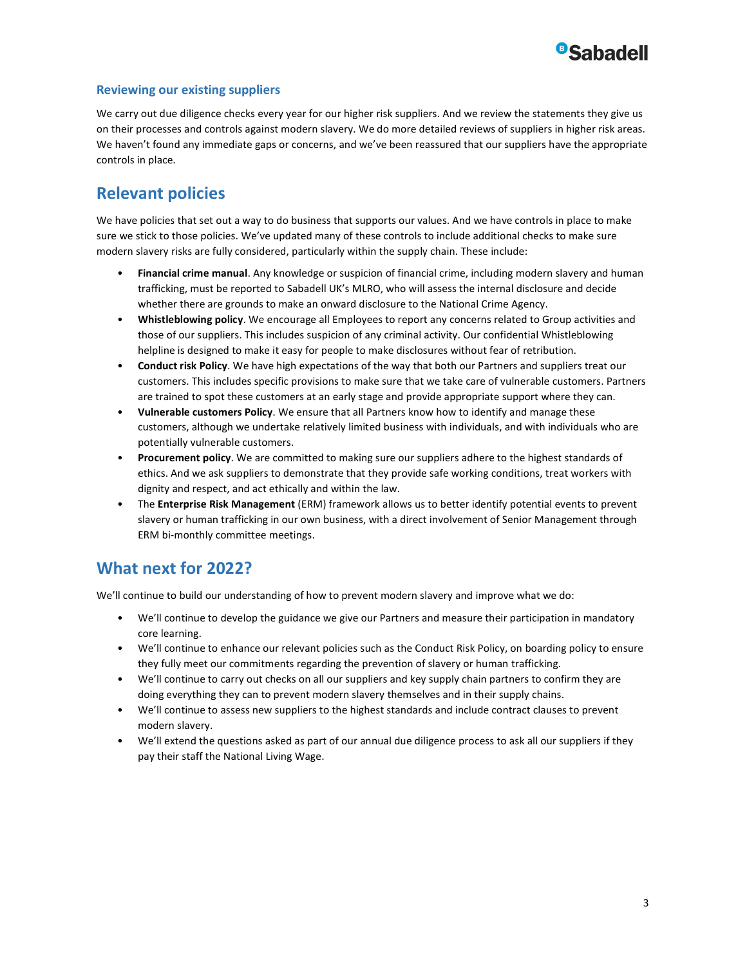

#### Reviewing our existing suppliers

We carry out due diligence checks every year for our higher risk suppliers. And we review the statements they give us on their processes and controls against modern slavery. We do more detailed reviews of suppliers in higher risk areas. We haven't found any immediate gaps or concerns, and we've been reassured that our suppliers have the appropriate controls in place.

#### Relevant policies

We have policies that set out a way to do business that supports our values. And we have controls in place to make sure we stick to those policies. We've updated many of these controls to include additional checks to make sure modern slavery risks are fully considered, particularly within the supply chain. These include:

- Financial crime manual. Any knowledge or suspicion of financial crime, including modern slavery and human trafficking, must be reported to Sabadell UK's MLRO, who will assess the internal disclosure and decide whether there are grounds to make an onward disclosure to the National Crime Agency.
- Whistleblowing policy. We encourage all Employees to report any concerns related to Group activities and those of our suppliers. This includes suspicion of any criminal activity. Our confidential Whistleblowing helpline is designed to make it easy for people to make disclosures without fear of retribution.
- Conduct risk Policy. We have high expectations of the way that both our Partners and suppliers treat our customers. This includes specific provisions to make sure that we take care of vulnerable customers. Partners are trained to spot these customers at an early stage and provide appropriate support where they can.
- Vulnerable customers Policy. We ensure that all Partners know how to identify and manage these customers, although we undertake relatively limited business with individuals, and with individuals who are potentially vulnerable customers.
- Procurement policy. We are committed to making sure our suppliers adhere to the highest standards of ethics. And we ask suppliers to demonstrate that they provide safe working conditions, treat workers with dignity and respect, and act ethically and within the law.
- The **Enterprise Risk Management** (ERM) framework allows us to better identify potential events to prevent slavery or human trafficking in our own business, with a direct involvement of Senior Management through ERM bi-monthly committee meetings.

### What next for 2022?

We'll continue to build our understanding of how to prevent modern slavery and improve what we do:

- We'll continue to develop the guidance we give our Partners and measure their participation in mandatory core learning.
- We'll continue to enhance our relevant policies such as the Conduct Risk Policy, on boarding policy to ensure they fully meet our commitments regarding the prevention of slavery or human trafficking.
- We'll continue to carry out checks on all our suppliers and key supply chain partners to confirm they are doing everything they can to prevent modern slavery themselves and in their supply chains.
- We'll continue to assess new suppliers to the highest standards and include contract clauses to prevent modern slavery.
- We'll extend the questions asked as part of our annual due diligence process to ask all our suppliers if they pay their staff the National Living Wage.